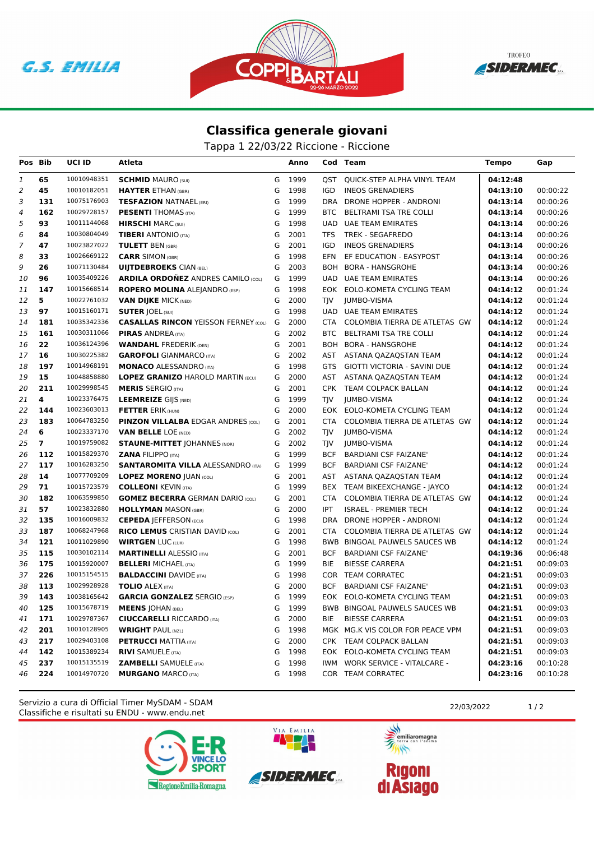





## **Classifica generale giovani**

Tappa 1 22/03/22 Riccione - Riccione

| Pos Bib        |                | <b>UCI ID</b> | Atleta                                      |   | Anno   |            | Cod Team                            | <b>Tempo</b> | Gap      |
|----------------|----------------|---------------|---------------------------------------------|---|--------|------------|-------------------------------------|--------------|----------|
| 1              | 65             | 10010948351   | <b>SCHMID MAURO (SUI)</b>                   | G | 1999   | OST        | QUICK-STEP ALPHA VINYL TEAM         | 04:12:48     |          |
| $\overline{c}$ | 45             | 10010182051   | <b>HAYTER ETHAN (GBR)</b>                   | G | 1998   | IGD        | <b>INEOS GRENADIERS</b>             | 04:13:10     | 00:00:22 |
| 3              | 131            | 10075176903   | <b>TESFAZION NATNAEL (ERI)</b>              | G | 1999   | DRA        | DRONE HOPPER - ANDRONI              | 04:13:14     | 00:00:26 |
| 4              | 162            | 10029728157   | <b>PESENTI</b> THOMAS (ITA)                 | G | 1999   | <b>BTC</b> | <b>BELTRAMI TSA TRE COLLI</b>       | 04:13:14     | 00:00:26 |
| 5              | 93             | 10011144068   | <b>HIRSCHI</b> MARC (SUI)                   | G | 1998   | UAD.       | UAE TEAM EMIRATES                   | 04:13:14     | 00:00:26 |
| 6              | 84             | 10030804049   | <b>TIBERI</b> ANTONIO (ITA)                 | G | 2001   | TFS        | <b>TREK - SEGAFREDO</b>             | 04:13:14     | 00:00:26 |
| $\overline{7}$ | 47             | 10023827022   | <b>TULETT BEN (GBR)</b>                     | G | 2001   | <b>IGD</b> | <b>INEOS GRENADIERS</b>             | 04:13:14     | 00:00:26 |
| 8              | 33             | 10026669122   | <b>CARR SIMON (GBR)</b>                     | G | 1998   | <b>EFN</b> | EF EDUCATION - EASYPOST             | 04:13:14     | 00:00:26 |
| 9              | 26             | 10071130484   | <b>UIJTDEBROEKS CIAN (BEL)</b>              | G | 2003   | BOH        | <b>BORA - HANSGROHE</b>             | 04:13:14     | 00:00:26 |
| 10             | 96             | 10035409226   | <b>ARDILA ORDOÑEZ ANDRES CAMILO (COL)</b>   | G | 1999   | <b>UAD</b> | UAE TEAM EMIRATES                   | 04:13:14     | 00:00:26 |
| 11             | 147            | 10015668514   | <b>ROPERO MOLINA ALEJANDRO (ESP)</b>        | G | 1998   |            | EOK EOLO-KOMETA CYCLING TEAM        | 04:14:12     | 00:01:24 |
| 12             | 5              | 10022761032   | <b>VAN DIJKE MICK (NED)</b>                 | G | 2000   | TIV        | <b>JUMBO-VISMA</b>                  | 04:14:12     | 00:01:24 |
| 13             | 97             | 10015160171   | <b>SUTER JOEL (SUI)</b>                     | G | 1998   | <b>UAD</b> | <b>UAE TEAM EMIRATES</b>            | 04:14:12     | 00:01:24 |
| 14             | 181            | 10035342336   | <b>CASALLAS RINCON YEISSON FERNEY (COL)</b> | G | 2000   | CTA        | COLOMBIA TIERRA DE ATLETAS GW       | 04:14:12     | 00:01:24 |
| 15             | 161            | 10030311066   | <b>PIRAS ANDREA</b> (ITA)                   | G | 2002   | BTC        | BELTRAMI TSA TRE COLLI              | 04:14:12     | 00:01:24 |
| 16             | 22             | 10036124396   | <b>WANDAHL FREDERIK (DEN)</b>               | G | 2001   |            | BOH BORA - HANSGROHE                | 04:14:12     | 00:01:24 |
| 17             | 16             | 10030225382   | <b>GAROFOLI</b> GIANMARCO (ITA)             | G | 2002   |            | AST ASTANA QAZAQSTAN TEAM           | 04:14:12     | 00:01:24 |
| 18             | 197            | 10014968191   | <b>MONACO ALESSANDRO (ITA)</b>              | G | 1998   | GTS        | <b>GIOTTI VICTORIA - SAVINI DUE</b> | 04:14:12     | 00:01:24 |
| 19             | 15             | 10048858880   | <b>LOPEZ GRANIZO HAROLD MARTIN (ECU)</b>    | G | 2000   | AST        | ASTANA QAZAQSTAN TEAM               | 04:14:12     | 00:01:24 |
| 20             | 211            | 10029998545   | <b>MERIS SERGIO (ITA)</b>                   | G | 2001   |            | CPK TEAM COLPACK BALLAN             | 04:14:12     | 00:01:24 |
| 21             | 4              | 10023376475   | <b>LEEMREIZE GIJS (NED)</b>                 | G | 1999   | TJV        | <b>JUMBO-VISMA</b>                  | 04:14:12     | 00:01:24 |
| 22             | 144            | 10023603013   | <b>FETTER ERIK (HUN)</b>                    | G | 2000   | EOK.       | EOLO-KOMETA CYCLING TEAM            | 04:14:12     | 00:01:24 |
| 23             | 183            | 10064783250   | <b>PINZON VILLALBA EDGAR ANDRES (COL)</b>   | G | 2001   | CTA        | COLOMBIA TIERRA DE ATLETAS GW       | 04:14:12     | 00:01:24 |
| 24             | 6              | 10023337170   | <b>VAN BELLE LOE (NED)</b>                  | G | 2002   | TJV        | <b>JUMBO-VISMA</b>                  | 04:14:12     | 00:01:24 |
| 25             | $\overline{7}$ | 10019759082   | <b>STAUNE-MITTET JOHANNES (NOR)</b>         | G | 2002   | TIV        | <b>JUMBO-VISMA</b>                  | 04:14:12     | 00:01:24 |
| 26             | 112            | 10015829370   | <b>ZANA FILIPPO (ITA)</b>                   | G | 1999   | <b>BCF</b> | <b>BARDIANI CSF FAIZANE'</b>        | 04:14:12     | 00:01:24 |
| 27             | 117            | 10016283250   | <b>SANTAROMITA VILLA ALESSANDRO (ITA)</b>   | G | 1999   | <b>BCF</b> | <b>BARDIANI CSF FAIZANE'</b>        | 04:14:12     | 00:01:24 |
| 28             | 14             | 10077709209   | <b>LOPEZ MORENO JUAN (COL)</b>              | G | 2001   | AST        | ASTANA QAZAQSTAN TEAM               | 04:14:12     | 00:01:24 |
| 29             | 71             | 10015723579   | <b>COLLEONI KEVIN (ITA)</b>                 | G | 1999   |            | BEX TEAM BIKEEXCHANGE - JAYCO       | 04:14:12     | 00:01:24 |
| 30             | 182            | 10063599850   | <b>GOMEZ BECERRA GERMAN DARIO (COL)</b>     | G | 2001   | CTA        | COLOMBIA TIERRA DE ATLETAS GW       | 04:14:12     | 00:01:24 |
| 31             | 57             | 10023832880   | <b>HOLLYMAN MASON (GBR)</b>                 | G | 2000   | <b>IPT</b> | <b>ISRAEL - PREMIER TECH</b>        | 04:14:12     | 00:01:24 |
| 32             | 135            | 10016009832   | <b>CEPEDA JEFFERSON (ECU)</b>               | G | 1998   | DRA        | DRONE HOPPER - ANDRONI              | 04:14:12     | 00:01:24 |
| 33             | 187            | 10068247968   | <b>RICO LEMUS CRISTIAN DAVID (COL)</b>      | G | 2001   | CTA        | COLOMBIA TIERRA DE ATLETAS GW       | 04:14:12     | 00:01:24 |
| 34             | 121            | 10011029890   | <b>WIRTGEN LUC (LUX)</b>                    | G | 1998   | <b>BWB</b> | BINGOAL PAUWELS SAUCES WB           | 04:14:12     | 00:01:24 |
| 35             | 115            | 10030102114   | <b>MARTINELLI ALESSIO (ITA)</b>             | G | 2001   | <b>BCF</b> | <b>BARDIANI CSF FAIZANE'</b>        | 04:19:36     | 00:06:48 |
| 36             | 175            | 10015920007   | <b>BELLERI MICHAEL (ITA)</b>                | G | 1999   | BIE        | <b>BIESSE CARRERA</b>               | 04:21:51     | 00:09:03 |
| 37             | 226            | 10015154515   | <b>BALDACCINI DAVIDE (ITA)</b>              | G | 1998   | COR        | <b>TEAM CORRATEC</b>                | 04:21:51     | 00:09:03 |
| 38             | 113            | 10029928928   | <b>TOLIO ALEX (ITA)</b>                     | G | 2000   | <b>BCF</b> | <b>BARDIANI CSF FAIZANE'</b>        | 04:21:51     | 00:09:03 |
| 39             | 143            | 10038165642   | <b>GARCIA GONZALEZ SERGIO (ESP)</b>         | G | 1999   |            | EOK EOLO-KOMETA CYCLING TEAM        | 04:21:51     | 00:09:03 |
| 40             | 125            | 10015678719   | <b>MEENS JOHAN (BEL)</b>                    | G | 1999   |            | BWB BINGOAL PAUWELS SAUCES WB       | 04:21:51     | 00:09:03 |
| 41             | 171            | 10029787367   | <b>CIUCCARELLI RICCARDO (ITA)</b>           | G | 2000   | BIE        | <b>BIESSE CARRERA</b>               | 04:21:51     | 00:09:03 |
| 42             | 201            | 10010128905   | <b>WRIGHT PAUL (NZL)</b>                    | G | 1998   |            | MGK MG.K VIS COLOR FOR PEACE VPM    | 04:21:51     | 00:09:03 |
| 43             | 217            | 10029403108   | <b>PETRUCCI MATTIA (ITA)</b>                | G | 2000   |            | CPK TEAM COLPACK BALLAN             | 04:21:51     | 00:09:03 |
| 44             | 142            | 10015389234   | <b>RIVI SAMUELE (ITA)</b>                   | G | 1998   |            | EOK EOLO-KOMETA CYCLING TEAM        | 04:21:51     | 00:09:03 |
| 45             | 237            | 10015135519   | <b>ZAMBELLI</b> SAMUELE (ITA)               | G | 1998   | IWM        | <b>WORK SERVICE - VITALCARE -</b>   | 04:23:16     | 00:10:28 |
| 46             | 224            | 10014970720   | <b>MURGANO MARCO (ITA)</b>                  |   | G 1998 |            | COR TEAM CORRATEC                   | 04:23:16     | 00:10:28 |

Classifiche e risultati su ENDU - www.endu.net Servizio a cura di Official Timer MySDAM - SDAM 22/03/2022 22/03/2022 1/2





VIA EMILIA

美元

emiliaromagna  $\rightarrow$ 

**Rigoni<br>di Asiago**